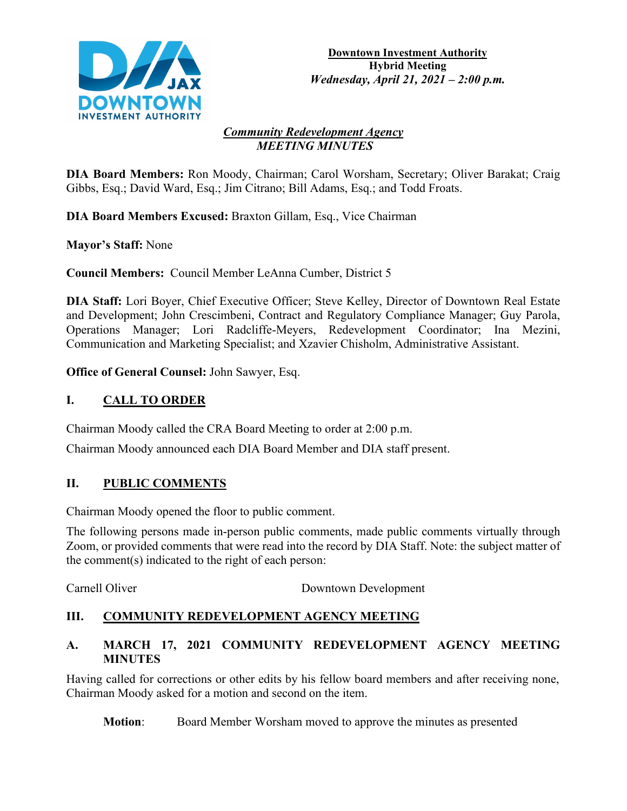

#### *Community Redevelopment Agency MEETING MINUTES*

**DIA Board Members:** Ron Moody, Chairman; Carol Worsham, Secretary; Oliver Barakat; Craig Gibbs, Esq.; David Ward, Esq.; Jim Citrano; Bill Adams, Esq.; and Todd Froats.

**DIA Board Members Excused:** Braxton Gillam, Esq., Vice Chairman

**Mayor's Staff:** None

**Council Members:** Council Member LeAnna Cumber, District 5

**DIA Staff:** Lori Boyer, Chief Executive Officer; Steve Kelley, Director of Downtown Real Estate and Development; John Crescimbeni, Contract and Regulatory Compliance Manager; Guy Parola, Operations Manager; Lori Radcliffe-Meyers, Redevelopment Coordinator; Ina Mezini, Communication and Marketing Specialist; and Xzavier Chisholm, Administrative Assistant.

**Office of General Counsel:** John Sawyer, Esq.

# **I. CALL TO ORDER**

Chairman Moody called the CRA Board Meeting to order at 2:00 p.m.

Chairman Moody announced each DIA Board Member and DIA staff present.

### **II. PUBLIC COMMENTS**

Chairman Moody opened the floor to public comment.

The following persons made in-person public comments, made public comments virtually through Zoom, or provided comments that were read into the record by DIA Staff. Note: the subject matter of the comment(s) indicated to the right of each person:

Carnell Oliver Downtown Development

# **III. COMMUNITY REDEVELOPMENT AGENCY MEETING**

### **A. MARCH 17, 2021 COMMUNITY REDEVELOPMENT AGENCY MEETING MINUTES**

Having called for corrections or other edits by his fellow board members and after receiving none, Chairman Moody asked for a motion and second on the item.

**Motion**: Board Member Worsham moved to approve the minutes as presented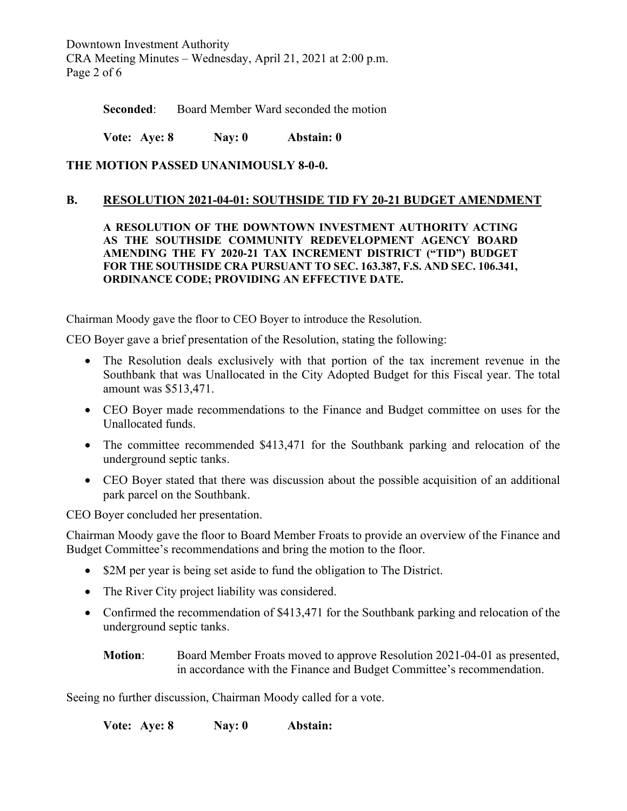Downtown Investment Authority CRA Meeting Minutes – Wednesday, April 21, 2021 at 2:00 p.m. Page 2 of 6

**Seconded:** Board Member Ward seconded the motion

**Vote: Aye: 8 Nay: 0 Abstain: 0**

#### **THE MOTION PASSED UNANIMOUSLY 8-0-0.**

#### **B. RESOLUTION 2021-04-01: SOUTHSIDE TID FY 20-21 BUDGET AMENDMENT**

#### **A RESOLUTION OF THE DOWNTOWN INVESTMENT AUTHORITY ACTING AS THE SOUTHSIDE COMMUNITY REDEVELOPMENT AGENCY BOARD AMENDING THE FY 2020-21 TAX INCREMENT DISTRICT ("TID") BUDGET FOR THE SOUTHSIDE CRA PURSUANT TO SEC. 163.387, F.S. AND SEC. 106.341, ORDINANCE CODE; PROVIDING AN EFFECTIVE DATE.**

Chairman Moody gave the floor to CEO Boyer to introduce the Resolution.

CEO Boyer gave a brief presentation of the Resolution, stating the following:

- The Resolution deals exclusively with that portion of the tax increment revenue in the Southbank that was Unallocated in the City Adopted Budget for this Fiscal year. The total amount was \$513,471.
- CEO Boyer made recommendations to the Finance and Budget committee on uses for the Unallocated funds.
- The committee recommended \$413,471 for the Southbank parking and relocation of the underground septic tanks.
- CEO Boyer stated that there was discussion about the possible acquisition of an additional park parcel on the Southbank.

CEO Boyer concluded her presentation.

Chairman Moody gave the floor to Board Member Froats to provide an overview of the Finance and Budget Committee's recommendations and bring the motion to the floor.

- \$2M per year is being set aside to fund the obligation to The District.
- The River City project liability was considered.
- Confirmed the recommendation of \$413,471 for the Southbank parking and relocation of the underground septic tanks.
	- **Motion**: Board Member Froats moved to approve Resolution 2021-04-01 as presented, in accordance with the Finance and Budget Committee's recommendation.

Seeing no further discussion, Chairman Moody called for a vote.

**Vote: Aye: 8 Nay: 0 Abstain:**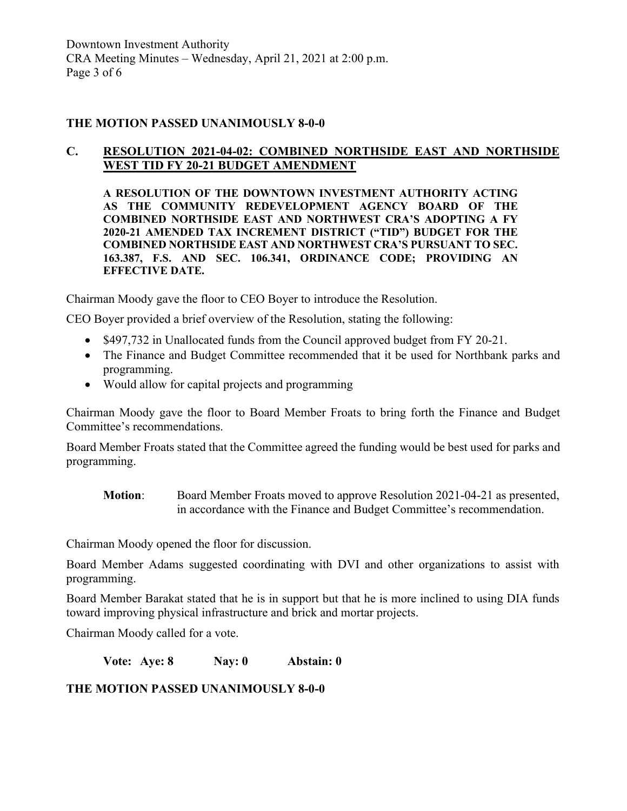#### **THE MOTION PASSED UNANIMOUSLY 8-0-0**

#### **C. RESOLUTION 2021-04-02: COMBINED NORTHSIDE EAST AND NORTHSIDE WEST TID FY 20-21 BUDGET AMENDMENT**

**A RESOLUTION OF THE DOWNTOWN INVESTMENT AUTHORITY ACTING AS THE COMMUNITY REDEVELOPMENT AGENCY BOARD OF THE COMBINED NORTHSIDE EAST AND NORTHWEST CRA'S ADOPTING A FY 2020-21 AMENDED TAX INCREMENT DISTRICT ("TID") BUDGET FOR THE COMBINED NORTHSIDE EAST AND NORTHWEST CRA'S PURSUANT TO SEC. 163.387, F.S. AND SEC. 106.341, ORDINANCE CODE; PROVIDING AN EFFECTIVE DATE.**

Chairman Moody gave the floor to CEO Boyer to introduce the Resolution.

CEO Boyer provided a brief overview of the Resolution, stating the following:

- \$497,732 in Unallocated funds from the Council approved budget from FY 20-21.
- The Finance and Budget Committee recommended that it be used for Northbank parks and programming.
- Would allow for capital projects and programming

Chairman Moody gave the floor to Board Member Froats to bring forth the Finance and Budget Committee's recommendations.

Board Member Froats stated that the Committee agreed the funding would be best used for parks and programming.

**Motion**: Board Member Froats moved to approve Resolution 2021-04-21 as presented, in accordance with the Finance and Budget Committee's recommendation.

Chairman Moody opened the floor for discussion.

Board Member Adams suggested coordinating with DVI and other organizations to assist with programming.

Board Member Barakat stated that he is in support but that he is more inclined to using DIA funds toward improving physical infrastructure and brick and mortar projects.

Chairman Moody called for a vote.

**Vote: Aye: 8 Nay: 0 Abstain: 0**

**THE MOTION PASSED UNANIMOUSLY 8-0-0**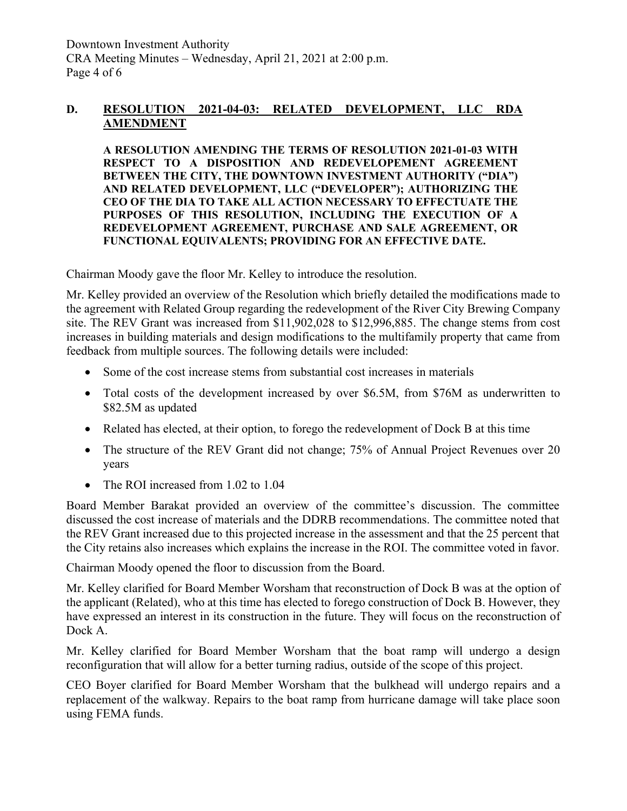### **D. RESOLUTION 2021-04-03: RELATED DEVELOPMENT, LLC RDA AMENDMENT**

**A RESOLUTION AMENDING THE TERMS OF RESOLUTION 2021-01-03 WITH RESPECT TO A DISPOSITION AND REDEVELOPEMENT AGREEMENT BETWEEN THE CITY, THE DOWNTOWN INVESTMENT AUTHORITY ("DIA") AND RELATED DEVELOPMENT, LLC ("DEVELOPER"); AUTHORIZING THE CEO OF THE DIA TO TAKE ALL ACTION NECESSARY TO EFFECTUATE THE PURPOSES OF THIS RESOLUTION, INCLUDING THE EXECUTION OF A REDEVELOPMENT AGREEMENT, PURCHASE AND SALE AGREEMENT, OR FUNCTIONAL EQUIVALENTS; PROVIDING FOR AN EFFECTIVE DATE.**

Chairman Moody gave the floor Mr. Kelley to introduce the resolution.

Mr. Kelley provided an overview of the Resolution which briefly detailed the modifications made to the agreement with Related Group regarding the redevelopment of the River City Brewing Company site. The REV Grant was increased from \$11,902,028 to \$12,996,885. The change stems from cost increases in building materials and design modifications to the multifamily property that came from feedback from multiple sources. The following details were included:

- Some of the cost increase stems from substantial cost increases in materials
- Total costs of the development increased by over \$6.5M, from \$76M as underwritten to \$82.5M as updated
- Related has elected, at their option, to forego the redevelopment of Dock B at this time
- The structure of the REV Grant did not change; 75% of Annual Project Revenues over 20 years
- The ROI increased from 1.02 to 1.04

Board Member Barakat provided an overview of the committee's discussion. The committee discussed the cost increase of materials and the DDRB recommendations. The committee noted that the REV Grant increased due to this projected increase in the assessment and that the 25 percent that the City retains also increases which explains the increase in the ROI. The committee voted in favor.

Chairman Moody opened the floor to discussion from the Board.

Mr. Kelley clarified for Board Member Worsham that reconstruction of Dock B was at the option of the applicant (Related), who at this time has elected to forego construction of Dock B. However, they have expressed an interest in its construction in the future. They will focus on the reconstruction of Dock A.

Mr. Kelley clarified for Board Member Worsham that the boat ramp will undergo a design reconfiguration that will allow for a better turning radius, outside of the scope of this project.

CEO Boyer clarified for Board Member Worsham that the bulkhead will undergo repairs and a replacement of the walkway. Repairs to the boat ramp from hurricane damage will take place soon using FEMA funds.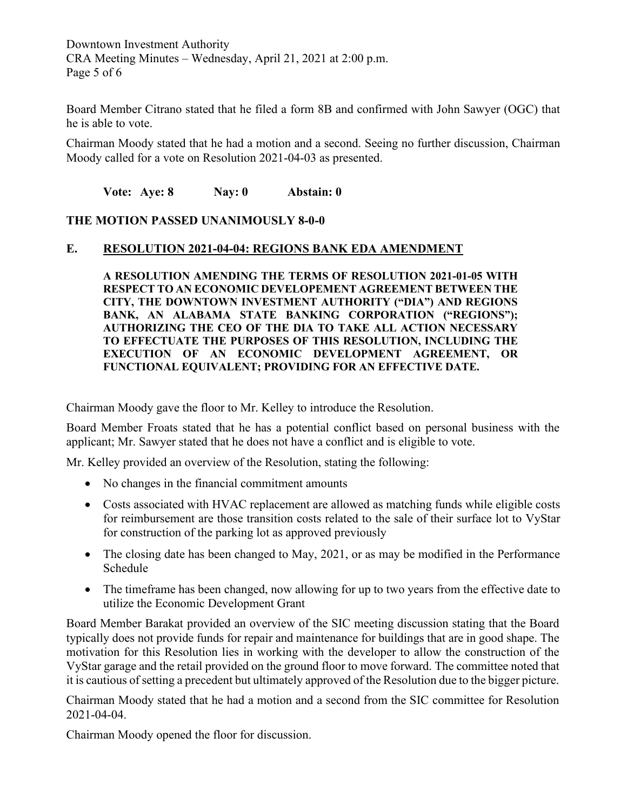Downtown Investment Authority CRA Meeting Minutes – Wednesday, April 21, 2021 at 2:00 p.m. Page 5 of 6

Board Member Citrano stated that he filed a form 8B and confirmed with John Sawyer (OGC) that he is able to vote.

Chairman Moody stated that he had a motion and a second. Seeing no further discussion, Chairman Moody called for a vote on Resolution 2021-04-03 as presented.

**Vote: Aye: 8 Nay: 0 Abstain: 0**

#### **THE MOTION PASSED UNANIMOUSLY 8-0-0**

#### **E. RESOLUTION 2021-04-04: REGIONS BANK EDA AMENDMENT**

**A RESOLUTION AMENDING THE TERMS OF RESOLUTION 2021-01-05 WITH RESPECT TO AN ECONOMIC DEVELOPEMENT AGREEMENT BETWEEN THE CITY, THE DOWNTOWN INVESTMENT AUTHORITY ("DIA") AND REGIONS BANK, AN ALABAMA STATE BANKING CORPORATION ("REGIONS"); AUTHORIZING THE CEO OF THE DIA TO TAKE ALL ACTION NECESSARY TO EFFECTUATE THE PURPOSES OF THIS RESOLUTION, INCLUDING THE EXECUTION OF AN ECONOMIC DEVELOPMENT AGREEMENT, OR FUNCTIONAL EQUIVALENT; PROVIDING FOR AN EFFECTIVE DATE.**

Chairman Moody gave the floor to Mr. Kelley to introduce the Resolution.

Board Member Froats stated that he has a potential conflict based on personal business with the applicant; Mr. Sawyer stated that he does not have a conflict and is eligible to vote.

Mr. Kelley provided an overview of the Resolution, stating the following:

- No changes in the financial commitment amounts
- Costs associated with HVAC replacement are allowed as matching funds while eligible costs for reimbursement are those transition costs related to the sale of their surface lot to VyStar for construction of the parking lot as approved previously
- The closing date has been changed to May, 2021, or as may be modified in the Performance Schedule
- The timeframe has been changed, now allowing for up to two years from the effective date to utilize the Economic Development Grant

Board Member Barakat provided an overview of the SIC meeting discussion stating that the Board typically does not provide funds for repair and maintenance for buildings that are in good shape. The motivation for this Resolution lies in working with the developer to allow the construction of the VyStar garage and the retail provided on the ground floor to move forward. The committee noted that it is cautious of setting a precedent but ultimately approved of the Resolution due to the bigger picture.

Chairman Moody stated that he had a motion and a second from the SIC committee for Resolution 2021-04-04.

Chairman Moody opened the floor for discussion.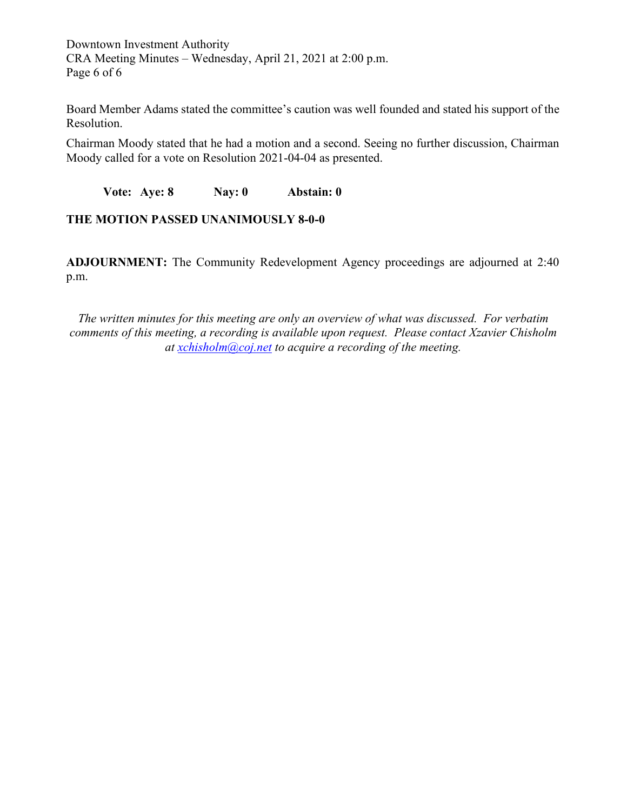Downtown Investment Authority CRA Meeting Minutes – Wednesday, April 21, 2021 at 2:00 p.m. Page 6 of 6

Board Member Adams stated the committee's caution was well founded and stated his support of the Resolution.

Chairman Moody stated that he had a motion and a second. Seeing no further discussion, Chairman Moody called for a vote on Resolution 2021-04-04 as presented.

**Vote: Aye: 8 Nay: 0 Abstain: 0**

### **THE MOTION PASSED UNANIMOUSLY 8-0-0**

**ADJOURNMENT:** The Community Redevelopment Agency proceedings are adjourned at 2:40 p.m.

*The written minutes for this meeting are only an overview of what was discussed. For verbatim comments of this meeting, a recording is available upon request. Please contact Xzavier Chisholm at [xchisholm@coj.net](mailto:xchisholm@coj.net) to acquire a recording of the meeting.*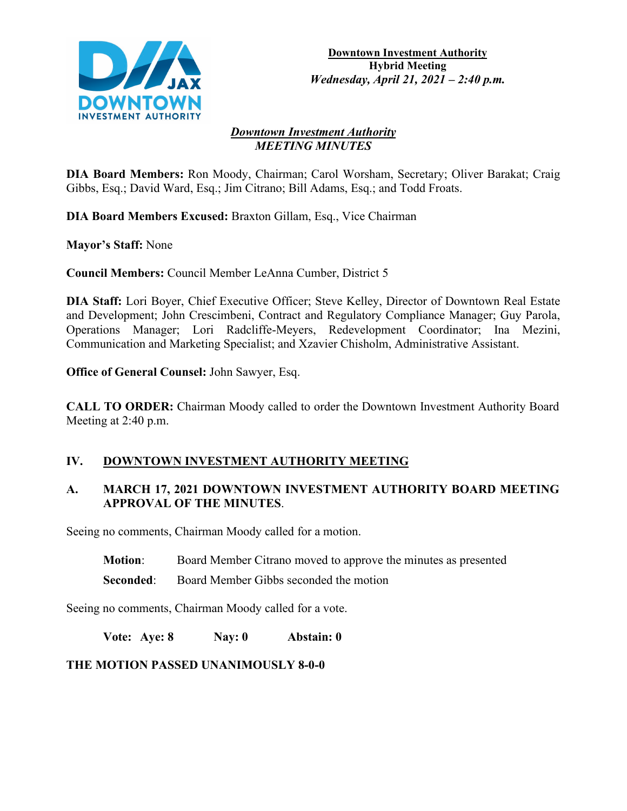

#### *Downtown Investment Authority MEETING MINUTES*

**DIA Board Members:** Ron Moody, Chairman; Carol Worsham, Secretary; Oliver Barakat; Craig Gibbs, Esq.; David Ward, Esq.; Jim Citrano; Bill Adams, Esq.; and Todd Froats.

**DIA Board Members Excused:** Braxton Gillam, Esq., Vice Chairman

**Mayor's Staff:** None

**Council Members:** Council Member LeAnna Cumber, District 5

**DIA Staff:** Lori Boyer, Chief Executive Officer; Steve Kelley, Director of Downtown Real Estate and Development; John Crescimbeni, Contract and Regulatory Compliance Manager; Guy Parola, Operations Manager; Lori Radcliffe-Meyers, Redevelopment Coordinator; Ina Mezini, Communication and Marketing Specialist; and Xzavier Chisholm, Administrative Assistant.

**Office of General Counsel:** John Sawyer, Esq.

**CALL TO ORDER:** Chairman Moody called to order the Downtown Investment Authority Board Meeting at 2:40 p.m.

### **IV. DOWNTOWN INVESTMENT AUTHORITY MEETING**

## **A. MARCH 17, 2021 DOWNTOWN INVESTMENT AUTHORITY BOARD MEETING APPROVAL OF THE MINUTES**.

Seeing no comments, Chairman Moody called for a motion.

**Motion**: Board Member Citrano moved to approve the minutes as presented

**Seconded:** Board Member Gibbs seconded the motion

Seeing no comments, Chairman Moody called for a vote.

**Vote: Aye: 8 Nay: 0 Abstain: 0**

### **THE MOTION PASSED UNANIMOUSLY 8-0-0**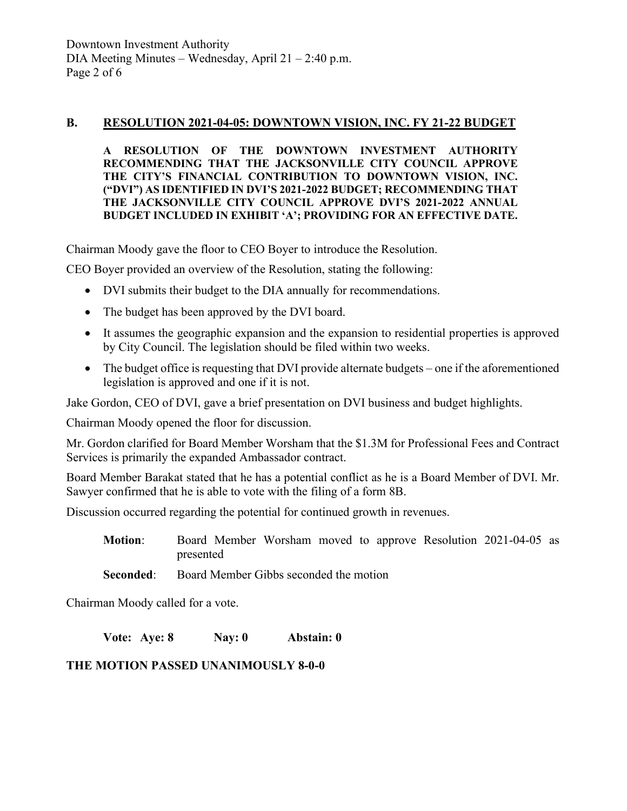#### **B. RESOLUTION 2021-04-05: DOWNTOWN VISION, INC. FY 21-22 BUDGET**

**A RESOLUTION OF THE DOWNTOWN INVESTMENT AUTHORITY RECOMMENDING THAT THE JACKSONVILLE CITY COUNCIL APPROVE THE CITY'S FINANCIAL CONTRIBUTION TO DOWNTOWN VISION, INC. ("DVI") AS IDENTIFIED IN DVI'S 2021-2022 BUDGET; RECOMMENDING THAT THE JACKSONVILLE CITY COUNCIL APPROVE DVI'S 2021-2022 ANNUAL BUDGET INCLUDED IN EXHIBIT 'A'; PROVIDING FOR AN EFFECTIVE DATE.** 

Chairman Moody gave the floor to CEO Boyer to introduce the Resolution.

CEO Boyer provided an overview of the Resolution, stating the following:

- DVI submits their budget to the DIA annually for recommendations.
- The budget has been approved by the DVI board.
- It assumes the geographic expansion and the expansion to residential properties is approved by City Council. The legislation should be filed within two weeks.
- The budget office is requesting that DVI provide alternate budgets one if the aforementioned legislation is approved and one if it is not.

Jake Gordon, CEO of DVI, gave a brief presentation on DVI business and budget highlights.

Chairman Moody opened the floor for discussion.

Mr. Gordon clarified for Board Member Worsham that the \$1.3M for Professional Fees and Contract Services is primarily the expanded Ambassador contract.

Board Member Barakat stated that he has a potential conflict as he is a Board Member of DVI. Mr. Sawyer confirmed that he is able to vote with the filing of a form 8B.

Discussion occurred regarding the potential for continued growth in revenues.

**Motion**: Board Member Worsham moved to approve Resolution 2021-04-05 as presented

**Seconded:** Board Member Gibbs seconded the motion

Chairman Moody called for a vote.

**Vote: Aye: 8 Nay: 0 Abstain: 0**

### **THE MOTION PASSED UNANIMOUSLY 8-0-0**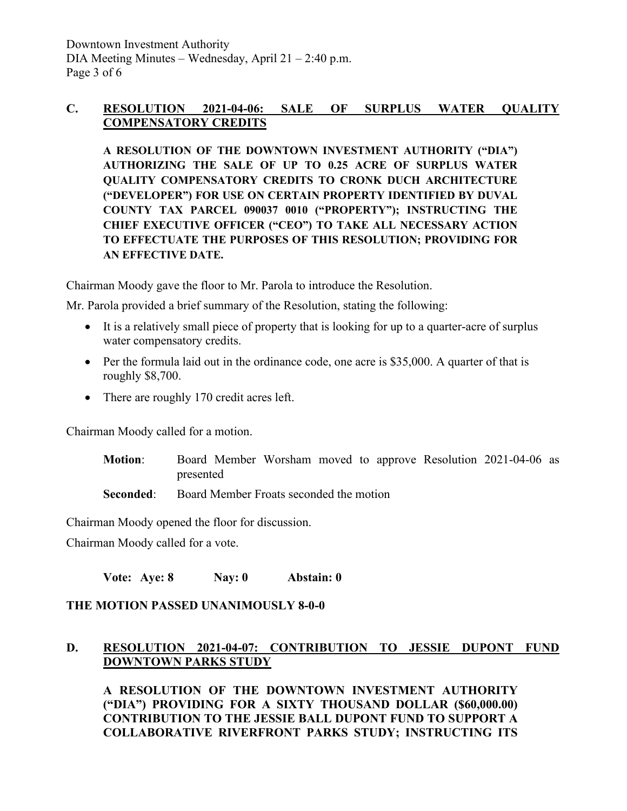#### **C. RESOLUTION 2021-04-06: SALE OF SURPLUS WATER QUALITY COMPENSATORY CREDITS**

**A RESOLUTION OF THE DOWNTOWN INVESTMENT AUTHORITY ("DIA") AUTHORIZING THE SALE OF UP TO 0.25 ACRE OF SURPLUS WATER QUALITY COMPENSATORY CREDITS TO CRONK DUCH ARCHITECTURE ("DEVELOPER") FOR USE ON CERTAIN PROPERTY IDENTIFIED BY DUVAL COUNTY TAX PARCEL 090037 0010 ("PROPERTY"); INSTRUCTING THE CHIEF EXECUTIVE OFFICER ("CEO") TO TAKE ALL NECESSARY ACTION TO EFFECTUATE THE PURPOSES OF THIS RESOLUTION; PROVIDING FOR AN EFFECTIVE DATE.**

Chairman Moody gave the floor to Mr. Parola to introduce the Resolution.

Mr. Parola provided a brief summary of the Resolution, stating the following:

- It is a relatively small piece of property that is looking for up to a quarter-acre of surplus water compensatory credits.
- Per the formula laid out in the ordinance code, one acre is \$35,000. A quarter of that is roughly \$8,700.
- There are roughly 170 credit acres left.

Chairman Moody called for a motion.

**Motion**: Board Member Worsham moved to approve Resolution 2021-04-06 as presented

**Seconded:** Board Member Froats seconded the motion

Chairman Moody opened the floor for discussion.

Chairman Moody called for a vote.

**Vote: Aye: 8 Nay: 0 Abstain: 0**

### **THE MOTION PASSED UNANIMOUSLY 8-0-0**

### **D. RESOLUTION 2021-04-07: CONTRIBUTION TO JESSIE DUPONT FUND DOWNTOWN PARKS STUDY**

**A RESOLUTION OF THE DOWNTOWN INVESTMENT AUTHORITY ("DIA") PROVIDING FOR A SIXTY THOUSAND DOLLAR (\$60,000.00) CONTRIBUTION TO THE JESSIE BALL DUPONT FUND TO SUPPORT A COLLABORATIVE RIVERFRONT PARKS STUDY; INSTRUCTING ITS**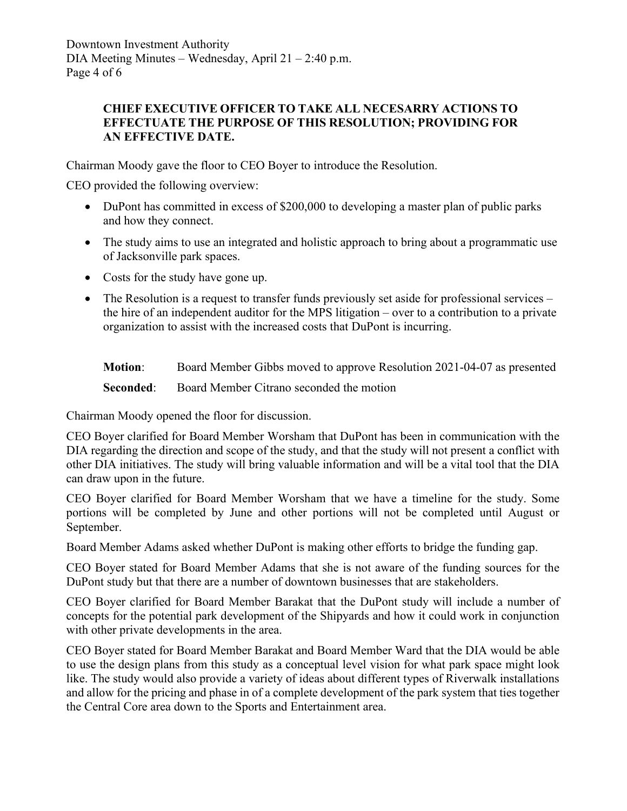### **CHIEF EXECUTIVE OFFICER TO TAKE ALL NECESARRY ACTIONS TO EFFECTUATE THE PURPOSE OF THIS RESOLUTION; PROVIDING FOR AN EFFECTIVE DATE.**

Chairman Moody gave the floor to CEO Boyer to introduce the Resolution.

CEO provided the following overview:

- DuPont has committed in excess of \$200,000 to developing a master plan of public parks and how they connect.
- The study aims to use an integrated and holistic approach to bring about a programmatic use of Jacksonville park spaces.
- Costs for the study have gone up.
- The Resolution is a request to transfer funds previously set aside for professional services the hire of an independent auditor for the MPS litigation – over to a contribution to a private organization to assist with the increased costs that DuPont is incurring.

**Motion**: Board Member Gibbs moved to approve Resolution 2021-04-07 as presented **Seconded:** Board Member Citrano seconded the motion

Chairman Moody opened the floor for discussion.

CEO Boyer clarified for Board Member Worsham that DuPont has been in communication with the DIA regarding the direction and scope of the study, and that the study will not present a conflict with other DIA initiatives. The study will bring valuable information and will be a vital tool that the DIA can draw upon in the future.

CEO Boyer clarified for Board Member Worsham that we have a timeline for the study. Some portions will be completed by June and other portions will not be completed until August or September.

Board Member Adams asked whether DuPont is making other efforts to bridge the funding gap.

CEO Boyer stated for Board Member Adams that she is not aware of the funding sources for the DuPont study but that there are a number of downtown businesses that are stakeholders.

CEO Boyer clarified for Board Member Barakat that the DuPont study will include a number of concepts for the potential park development of the Shipyards and how it could work in conjunction with other private developments in the area.

CEO Boyer stated for Board Member Barakat and Board Member Ward that the DIA would be able to use the design plans from this study as a conceptual level vision for what park space might look like. The study would also provide a variety of ideas about different types of Riverwalk installations and allow for the pricing and phase in of a complete development of the park system that ties together the Central Core area down to the Sports and Entertainment area.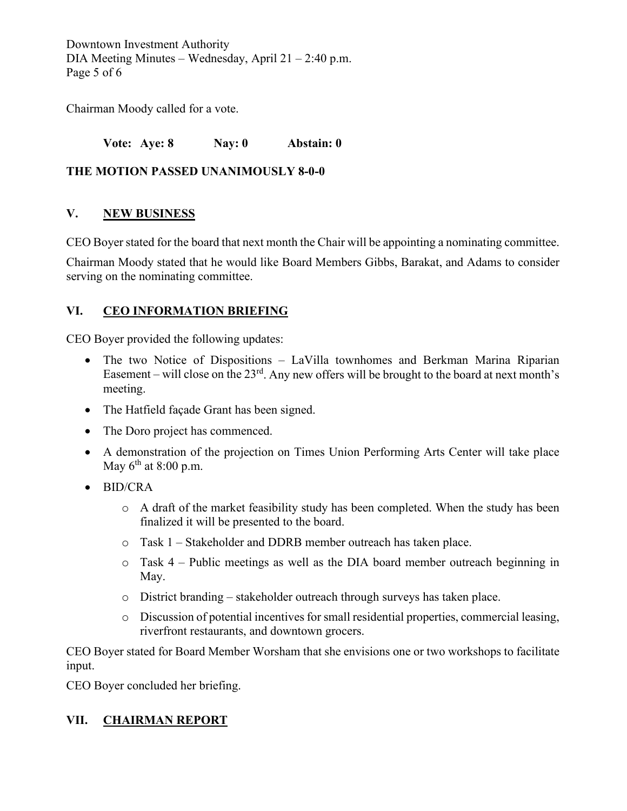Downtown Investment Authority DIA Meeting Minutes – Wednesday, April  $21 - 2:40$  p.m. Page 5 of 6

Chairman Moody called for a vote.

**Vote: Aye: 8 Nay: 0 Abstain: 0**

## **THE MOTION PASSED UNANIMOUSLY 8-0-0**

# **V. NEW BUSINESS**

CEO Boyer stated for the board that next month the Chair will be appointing a nominating committee.

Chairman Moody stated that he would like Board Members Gibbs, Barakat, and Adams to consider serving on the nominating committee.

# **VI. CEO INFORMATION BRIEFING**

CEO Boyer provided the following updates:

- The two Notice of Dispositions LaVilla townhomes and Berkman Marina Riparian Easement – will close on the  $23<sup>rd</sup>$ . Any new offers will be brought to the board at next month's meeting.
- The Hatfield façade Grant has been signed.
- The Doro project has commenced.
- A demonstration of the projection on Times Union Performing Arts Center will take place May  $6^{th}$  at 8:00 p.m.
- BID/CRA
	- o A draft of the market feasibility study has been completed. When the study has been finalized it will be presented to the board.
	- o Task 1 Stakeholder and DDRB member outreach has taken place.
	- o Task 4 Public meetings as well as the DIA board member outreach beginning in May.
	- o District branding stakeholder outreach through surveys has taken place.
	- o Discussion of potential incentives for small residential properties, commercial leasing, riverfront restaurants, and downtown grocers.

CEO Boyer stated for Board Member Worsham that she envisions one or two workshops to facilitate input.

CEO Boyer concluded her briefing.

# **VII. CHAIRMAN REPORT**